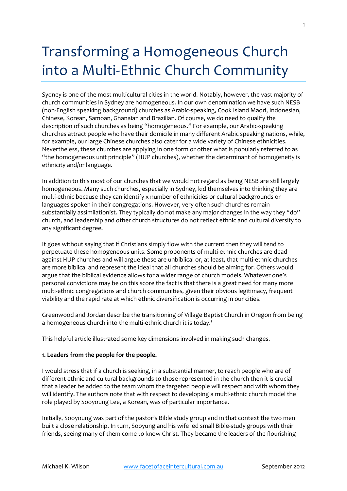# Transforming a Homogeneous Church into a Multi-Ethnic Church Community

Sydney is one of the most multicultural cities in the world. Notably, however, the vast majority of church communities in Sydney are homogeneous. In our own denomination we have such NESB (non-English speaking background) churches as Arabic-speaking, Cook Island Maori, Indonesian, Chinese, Korean, Samoan, Ghanaian and Brazilian. Of course, we do need to qualify the description of such churches as being "homogeneous." For example, our Arabic-speaking churches attract people who have their domicile in many different Arabic speaking nations, while, for example, our large Chinese churches also cater for a wide variety of Chinese ethnicities. Nevertheless, these churches are applying in one form or other what is popularly referred to as "the homogeneous unit principle" (HUP churches), whether the determinant of homogeneity is ethnicity and/or language.

In addition to this most of our churches that we would not regard as being NESB are still largely homogeneous. Many such churches, especially in Sydney, kid themselves into thinking they are multi-ethnic because they can identify x number of ethnicities or cultural backgrounds or languages spoken in their congregations. However, very often such churches remain substantially assimilationist. They typically do not make any major changes in the way they "do" church, and leadership and other church structures do not reflect ethnic and cultural diversity to any significant degree.

It goes without saying that if Christians simply flow with the current then they will tend to perpetuate these homogeneous units. Some proponents of multi-ethnic churches are dead against HUP churches and will argue these are unbiblical or, at least, that multi-ethnic churches are more biblical and represent the ideal that all churches should be aiming for. Others would argue that the biblical evidence allows for a wider range of church models. Whatever one's personal convictions may be on this score the fact is that there is a great need for many more multi-ethnic congregations and church communities, given their obvious legitimacy, frequent viability and the rapid rate at which ethnic diversification is occurring in our cities.

Greenwood and Jordan describe the transitioning of Village Baptist Church in Oregon from being a homogeneous church into the multi-ethnic church it is today.<sup>1</sup>

This helpful article illustrated some key dimensions involved in making such changes.

# **1. Leaders from the people for the people.**

I would stress that if a church is seeking, in a substantial manner, to reach people who are of different ethnic and cultural backgrounds to those represented in the church then it is crucial that a leader be added to the team whom the targeted people will respect and with whom they will identify. The authors note that with respect to developing a multi-ethnic church model the role played by Sooyoung Lee, a Korean, was of particular importance.

Initially, Sooyoung was part of the pastor's Bible study group and in that context the two men built a close relationship. In turn, Sooyung and his wife led small Bible-study groups with their friends, seeing many of them come to know Christ. They became the leaders of the flourishing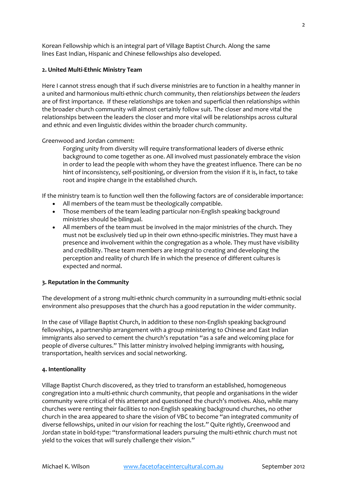Korean Fellowship which is an integral part of Village Baptist Church. Along the same lines East Indian, Hispanic and Chinese fellowships also developed.

## **2. United Multi-Ethnic Ministry Team**

Here I cannot stress enough that if such diverse ministries are to function in a healthy manner in a united and harmonious multi-ethnic church community, then *relationships between the leaders* are of first importance. If these relationships are token and superficial then relationships within the broader church community will almost certainly follow suit. The closer and more vital the relationships between the leaders the closer and more vital will be relationships across cultural and ethnic and even linguistic divides within the broader church community.

## Greenwood and Jordan comment:

Forging unity from diversity will require transformational leaders of diverse ethnic background to come together as one. All involved must passionately embrace the vision in order to lead the people with whom they have the greatest influence. There can be no hint of inconsistency, self-positioning, or diversion from the vision if it is, in fact, to take root and inspire change in the established church.

If the ministry team is to function well then the following factors are of considerable importance:

- All members of the team must be theologically compatible.
- Those members of the team leading particular non-English speaking background ministries should be bilingual.
- All members of the team must be involved in the major ministries of the church. They must not be exclusively tied up in their own ethno-specific ministries. They must have a presence and involvement within the congregation as a whole. They must have visibility and credibility. These team members are integral to creating and developing the perception and reality of church life in which the presence of different cultures is expected and normal.

# **3. Reputation in the Community**

The development of a strong multi-ethnic church community in a surrounding multi-ethnic social environment also presupposes that the church has a good reputation in the wider community.

In the case of Village Baptist Church, in addition to these non-English speaking background fellowships, a partnership arrangement with a group ministering to Chinese and East Indian immigrants also served to cement the church's reputation "as a safe and welcoming place for people of diverse cultures." This latter ministry involved helping immigrants with housing, transportation, health services and social networking.

## **4. Intentionality**

Village Baptist Church discovered, as they tried to transform an established, homogeneous congregation into a multi-ethnic church community, that people and organisations in the wider community were critical of this attempt and questioned the church's motives. Also, while many churches were renting their facilities to non-English speaking background churches, no other church in the area appeared to share the vision of VBC to become "an integrated community of diverse fellowships, united in our vision for reaching the lost." Quite rightly, Greenwood and Jordan state in bold-type: "transformational leaders pursuing the multi-ethnic church must not yield to the voices that will surely challenge their vision."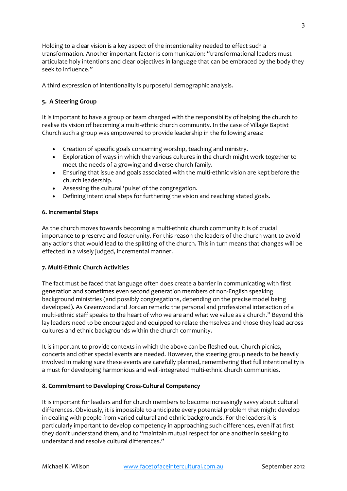Holding to a clear vision is a key aspect of the intentionality needed to effect such a transformation. Another important factor is communication: "transformational leaders must articulate holy intentions and clear objectives in language that can be embraced by the body they seek to influence."

A third expression of intentionality is purposeful demographic analysis.

# **5. A Steering Group**

It is important to have a group or team charged with the responsibility of helping the church to realise its vision of becoming a multi-ethnic church community. In the case of Village Baptist Church such a group was empowered to provide leadership in the following areas:

- Creation of specific goals concerning worship, teaching and ministry.
- Exploration of ways in which the various cultures in the church might work together to meet the needs of a growing and diverse church family.
- Ensuring that issue and goals associated with the multi-ethnic vision are kept before the church leadership.
- Assessing the cultural 'pulse' of the congregation.
- Defining intentional steps for furthering the vision and reaching stated goals.

# **6. Incremental Steps**

As the church moves towards becoming a multi-ethnic church community it is of crucial importance to preserve and foster unity. For this reason the leaders of the church want to avoid any actions that would lead to the splitting of the church. This in turn means that changes will be effected in a wisely judged, incremental manner.

# **7. Multi-Ethnic Church Activities**

The fact must be faced that language often does create a barrier in communicating with first generation and sometimes even second generation members of non-English speaking background ministries (and possibly congregations, depending on the precise model being developed). As Greenwood and Jordan remark: the personal and professional interaction of a multi-ethnic staff speaks to the heart of who we are and what we value as a church." Beyond this lay leaders need to be encouraged and equipped to relate themselves and those they lead across cultures and ethnic backgrounds within the church community.

It is important to provide contexts in which the above can be fleshed out. Church picnics, concerts and other special events are needed. However, the steering group needs to be heavily involved in making sure these events are carefully planned, remembering that full intentionality is a must for developing harmonious and well-integrated multi-ethnic church communities.

# **8. Commitment to Developing Cross-Cultural Competency**

It is important for leaders and for church members to become increasingly savvy about cultural differences. Obviously, it is impossible to anticipate every potential problem that might develop in dealing with people from varied cultural and ethnic backgrounds. For the leaders it is particularly important to develop competency in approaching such differences, even if at first they don't understand them, and to "maintain mutual respect for one another in seeking to understand and resolve cultural differences."